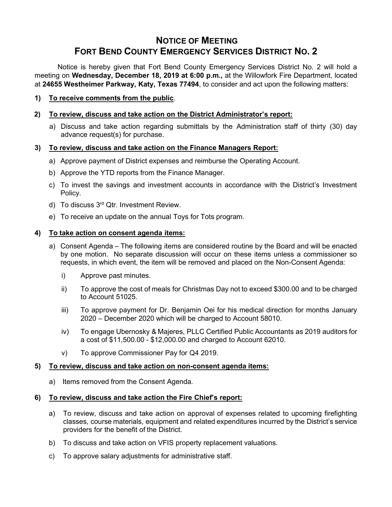# **NOTICE OF MEETING FORT BEND COUNTY EMERGENCY SERVICES DISTRICT NO. 2**

Notice is hereby given that Fort Bend County Emergency Services District No. 2 will hold a meeting on **Wednesday, December 18, 2019 at 6:00 p.m.,** at the Willowfork Fire Department, located at **24655 Westheimer Parkway, Katy, Texas 77494**, to consider and act upon the following matters:

**1) To receive comments from the public**.

## **2) To review, discuss and take action on the District Administrator's report:**

a) Discuss and take action regarding submittals by the Administration staff of thirty (30) day advance request(s) for purchase.

### **3) To review, discuss and take action on the Finance Managers Report:**

- a) Approve payment of District expenses and reimburse the Operating Account.
- b) Approve the YTD reports from the Finance Manager.
- c) To invest the savings and investment accounts in accordance with the District's Investment Policy.
- d) To discuss 3<sup>rd</sup> Qtr. Investment Review.
- e) To receive an update on the annual Toys for Tots program.

#### **4) To take action on consent agenda items:**

- a) Consent Agenda The following items are considered routine by the Board and will be enacted by one motion. No separate discussion will occur on these items unless a commissioner so requests, in which event, the item will be removed and placed on the Non-Consent Agenda:
	- i) Approve past minutes.
	- ii) To approve the cost of meals for Christmas Day not to exceed \$300.00 and to be charged to Account 51025.
	- iii) To approve payment for Dr. Benjamin Oei for his medical direction for months January 2020 – December 2020 which will be charged to Account 58010.
	- iv) To engage Ubernosky & Majeres, PLLC Certified Public Accountants as 2019 auditors for a cost of \$11,500.00 - \$12,000.00 and charged to Account 62010.
	- v) To approve Commissioner Pay for Q4 2019.

## **5) To review, discuss and take action on non-consent agenda items:**

a) Items removed from the Consent Agenda.

#### **6) To review, discuss and take action the Fire Chief's report:**

- a) To review, discuss and take action on approval of expenses related to upcoming firefighting classes, course materials, equipment and related expenditures incurred by the District's service providers for the benefit of the District.
- b) To discuss and take action on VFIS property replacement valuations.
- c) To approve salary adjustments for administrative staff.